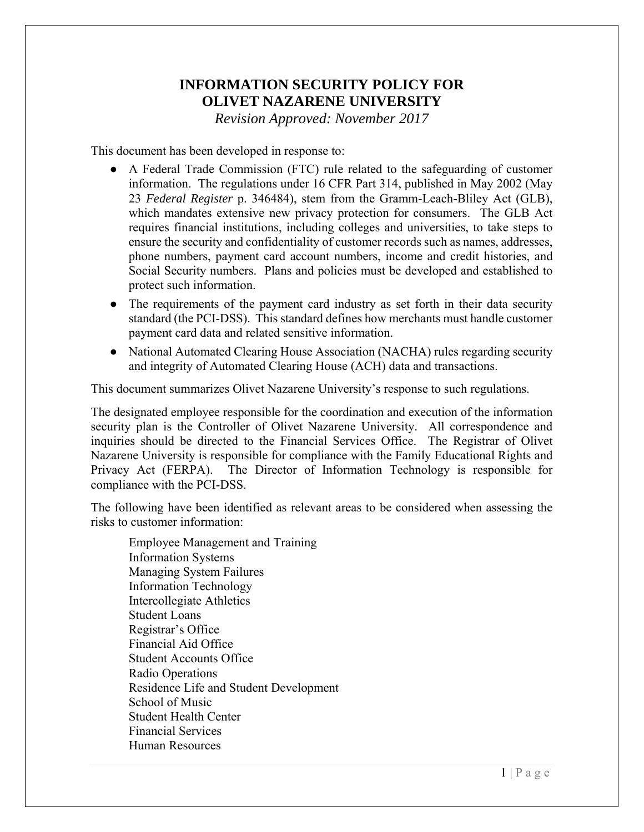# **INFORMATION SECURITY POLICY FOR OLIVET NAZARENE UNIVERSITY**

*Revision Approved: November 2017* 

This document has been developed in response to:

- A Federal Trade Commission (FTC) rule related to the safeguarding of customer information. The regulations under 16 CFR Part 314, published in May 2002 (May 23 *Federal Register* p. 346484), stem from the Gramm-Leach-Bliley Act (GLB), which mandates extensive new privacy protection for consumers. The GLB Act requires financial institutions, including colleges and universities, to take steps to ensure the security and confidentiality of customer records such as names, addresses, phone numbers, payment card account numbers, income and credit histories, and Social Security numbers. Plans and policies must be developed and established to protect such information.
- The requirements of the payment card industry as set forth in their data security standard (the PCI-DSS). This standard defines how merchants must handle customer payment card data and related sensitive information.
- National Automated Clearing House Association (NACHA) rules regarding security and integrity of Automated Clearing House (ACH) data and transactions.

This document summarizes Olivet Nazarene University's response to such regulations.

The designated employee responsible for the coordination and execution of the information security plan is the Controller of Olivet Nazarene University. All correspondence and inquiries should be directed to the Financial Services Office. The Registrar of Olivet Nazarene University is responsible for compliance with the Family Educational Rights and Privacy Act (FERPA). The Director of Information Technology is responsible for compliance with the PCI-DSS.

The following have been identified as relevant areas to be considered when assessing the risks to customer information:

 Employee Management and Training Information Systems Managing System Failures Information Technology Intercollegiate Athletics Student Loans Registrar's Office Financial Aid Office Student Accounts Office Radio Operations Residence Life and Student Development School of Music Student Health Center Financial Services Human Resources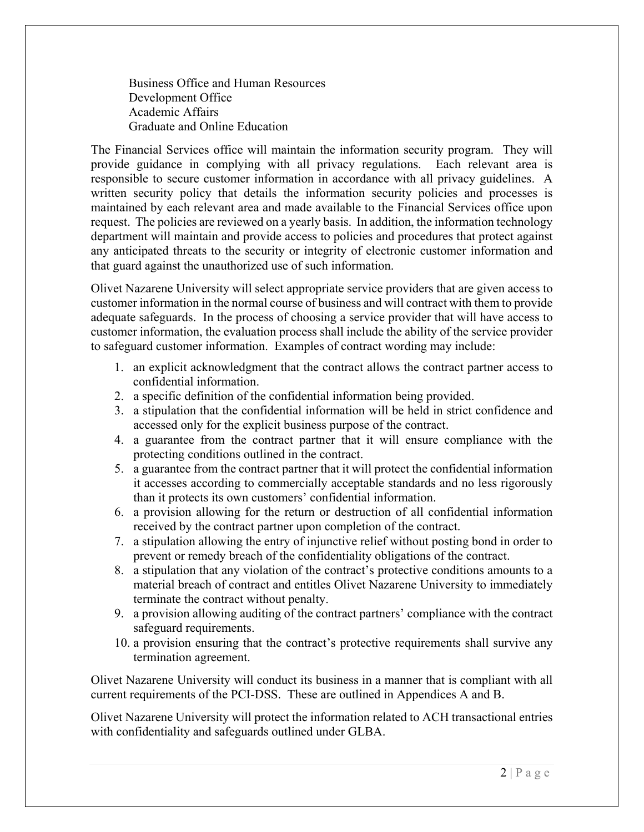Business Office and Human Resources Development Office Academic Affairs Graduate and Online Education

The Financial Services office will maintain the information security program. They will provide guidance in complying with all privacy regulations. Each relevant area is responsible to secure customer information in accordance with all privacy guidelines. A written security policy that details the information security policies and processes is maintained by each relevant area and made available to the Financial Services office upon request. The policies are reviewed on a yearly basis. In addition, the information technology department will maintain and provide access to policies and procedures that protect against any anticipated threats to the security or integrity of electronic customer information and that guard against the unauthorized use of such information.

Olivet Nazarene University will select appropriate service providers that are given access to customer information in the normal course of business and will contract with them to provide adequate safeguards. In the process of choosing a service provider that will have access to customer information, the evaluation process shall include the ability of the service provider to safeguard customer information. Examples of contract wording may include:

- 1. an explicit acknowledgment that the contract allows the contract partner access to confidential information.
- 2. a specific definition of the confidential information being provided.
- 3. a stipulation that the confidential information will be held in strict confidence and accessed only for the explicit business purpose of the contract.
- 4. a guarantee from the contract partner that it will ensure compliance with the protecting conditions outlined in the contract.
- 5. a guarantee from the contract partner that it will protect the confidential information it accesses according to commercially acceptable standards and no less rigorously than it protects its own customers' confidential information.
- 6. a provision allowing for the return or destruction of all confidential information received by the contract partner upon completion of the contract.
- 7. a stipulation allowing the entry of injunctive relief without posting bond in order to prevent or remedy breach of the confidentiality obligations of the contract.
- 8. a stipulation that any violation of the contract's protective conditions amounts to a material breach of contract and entitles Olivet Nazarene University to immediately terminate the contract without penalty.
- 9. a provision allowing auditing of the contract partners' compliance with the contract safeguard requirements.
- 10. a provision ensuring that the contract's protective requirements shall survive any termination agreement.

Olivet Nazarene University will conduct its business in a manner that is compliant with all current requirements of the PCI-DSS. These are outlined in Appendices A and B.

Olivet Nazarene University will protect the information related to ACH transactional entries with confidentiality and safeguards outlined under GLBA.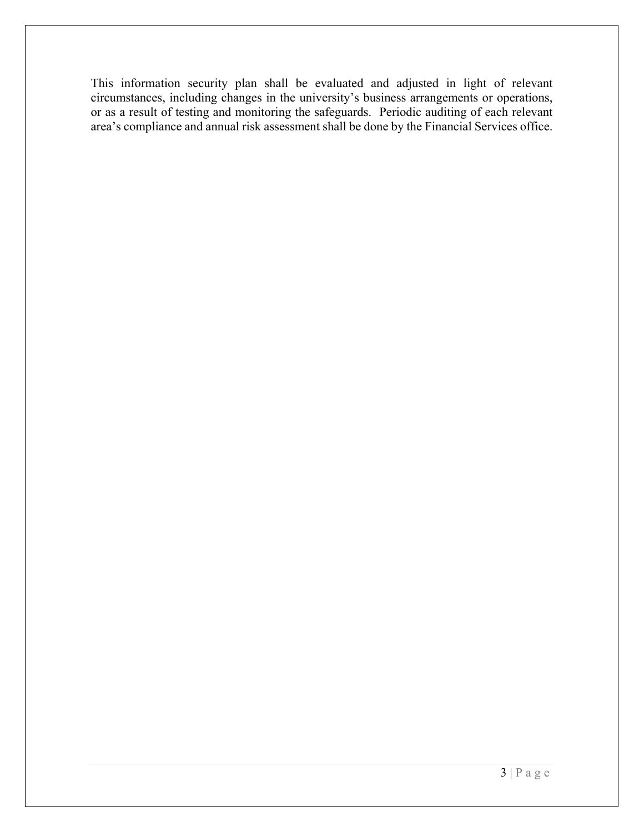This information security plan shall be evaluated and adjusted in light of relevant circumstances, including changes in the university's business arrangements or operations, or as a result of testing and monitoring the safeguards. Periodic auditing of each relevant area's compliance and annual risk assessment shall be done by the Financial Services office.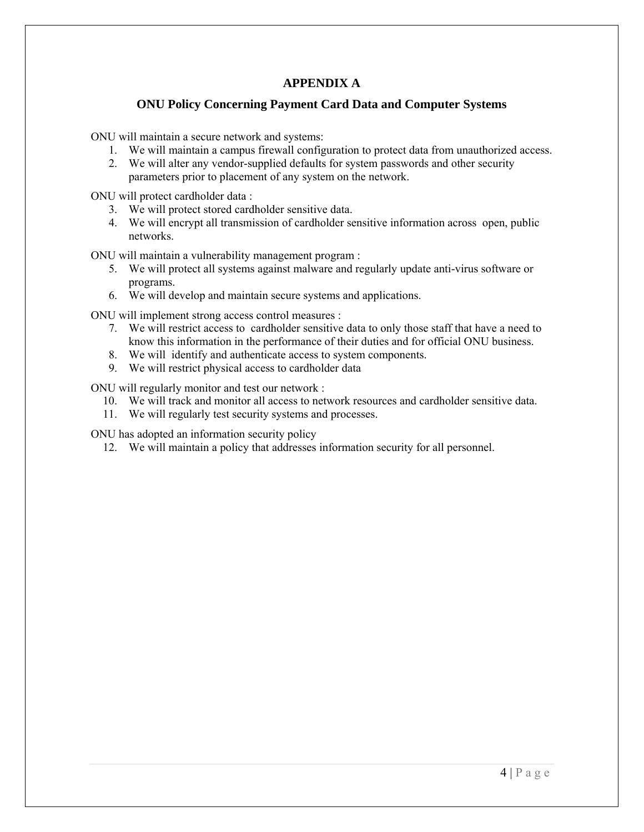#### **APPENDIX A**

#### **ONU Policy Concerning Payment Card Data and Computer Systems**

ONU will maintain a secure network and systems:

- 1. We will maintain a campus firewall configuration to protect data from unauthorized access.
- 2. We will alter any vendor-supplied defaults for system passwords and other security parameters prior to placement of any system on the network.

ONU will protect cardholder data :

- 3. We will protect stored cardholder sensitive data.
- 4. We will encrypt all transmission of cardholder sensitive information across open, public networks.

ONU will maintain a vulnerability management program :

- 5. We will protect all systems against malware and regularly update anti-virus software or programs.
- 6. We will develop and maintain secure systems and applications.

ONU will implement strong access control measures :

- 7. We will restrict access to cardholder sensitive data to only those staff that have a need to know this information in the performance of their duties and for official ONU business.
- 8. We will identify and authenticate access to system components.
- 9. We will restrict physical access to cardholder data

ONU will regularly monitor and test our network :

- 10. We will track and monitor all access to network resources and cardholder sensitive data.
- 11. We will regularly test security systems and processes.

ONU has adopted an information security policy

12. We will maintain a policy that addresses information security for all personnel.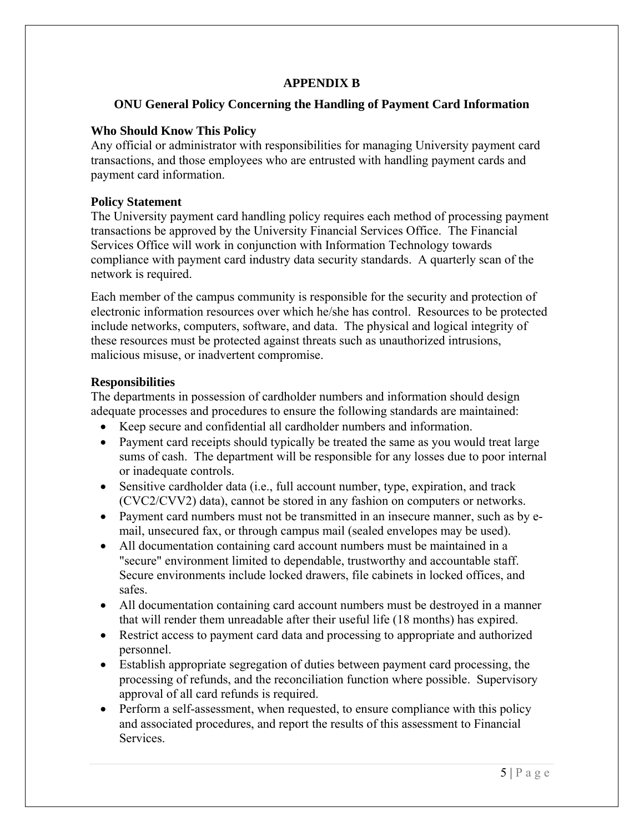### **APPENDIX B**

#### **ONU General Policy Concerning the Handling of Payment Card Information**

#### **Who Should Know This Policy**

Any official or administrator with responsibilities for managing University payment card transactions, and those employees who are entrusted with handling payment cards and payment card information.

#### **Policy Statement**

The University payment card handling policy requires each method of processing payment transactions be approved by the University Financial Services Office. The Financial Services Office will work in conjunction with Information Technology towards compliance with payment card industry data security standards. A quarterly scan of the network is required.

Each member of the campus community is responsible for the security and protection of electronic information resources over which he/she has control. Resources to be protected include networks, computers, software, and data. The physical and logical integrity of these resources must be protected against threats such as unauthorized intrusions, malicious misuse, or inadvertent compromise.

### **Responsibilities**

The departments in possession of cardholder numbers and information should design adequate processes and procedures to ensure the following standards are maintained:

- Keep secure and confidential all cardholder numbers and information.
- Payment card receipts should typically be treated the same as you would treat large sums of cash. The department will be responsible for any losses due to poor internal or inadequate controls.
- Sensitive cardholder data (i.e., full account number, type, expiration, and track (CVC2/CVV2) data), cannot be stored in any fashion on computers or networks.
- Payment card numbers must not be transmitted in an insecure manner, such as by email, unsecured fax, or through campus mail (sealed envelopes may be used).
- All documentation containing card account numbers must be maintained in a "secure" environment limited to dependable, trustworthy and accountable staff. Secure environments include locked drawers, file cabinets in locked offices, and safes.
- All documentation containing card account numbers must be destroyed in a manner that will render them unreadable after their useful life (18 months) has expired.
- Restrict access to payment card data and processing to appropriate and authorized personnel.
- Establish appropriate segregation of duties between payment card processing, the processing of refunds, and the reconciliation function where possible. Supervisory approval of all card refunds is required.
- Perform a self-assessment, when requested, to ensure compliance with this policy and associated procedures, and report the results of this assessment to Financial **Services**